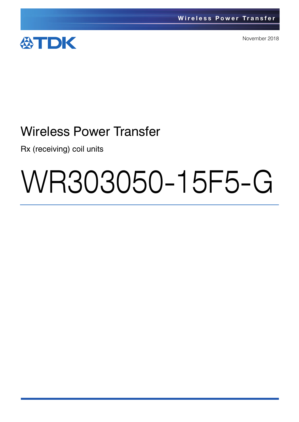

November 2018

## Wireless Power Transfer

Rx (receiving) coil units

# WR303050-15F5-G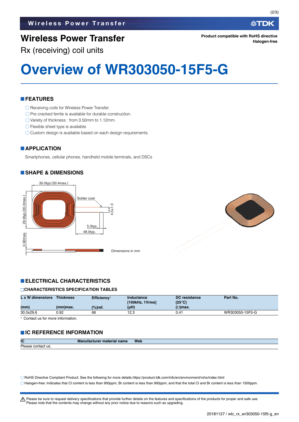## **Wireless Power Transfer**

#### 公TDK

**Product compatible with RoHS directive Halogen-free**

Rx (receiving) coil units

# **Overview of WR303050-15F5-G**

#### **FEATURES**

- ◯ Receiving coils for Wireless Power Transfer.
- $\bigcirc$  Pre cracked ferrite is available for durable construction.
- Variety of thickness : from 0.50mm to 1.12mm.
- ◯ Flexible sheet type is available.
- O Custom design is available based on each design requirements.

#### **APPLICATION**

Smartphones, cellular phones, handheld mobile terminals, and DSCs

#### **SHAPE & DIMENSIONS**





#### **ELECTRICAL CHARACTERISTICS**

#### **CHARACTERISTICS SPECIFICATION TABLES**

| L x W dimensions | <b>Thickness</b> | Efficiency*        | Inductance<br>[100kHz, 1Vrms] | <b>DC</b> resistance<br>$[25^{\circ}C]$ | Part No.        |
|------------------|------------------|--------------------|-------------------------------|-----------------------------------------|-----------------|
| (mm)             | (mm)max.         | $\frac{9}{6}$ ref. | $(\mu H)$                     | $(\Omega)$ max.                         |                 |
| 30.0x29.6        | 0.92             | 66                 | 12.3                          | 0.41                                    | WR303050-15F5-G |

Contact us for more information.

#### **IC REFERENCE INFORMATION**

| IC                                                                                                                                             | Manufacturer<br><sup>.</sup> material name | <b>Web</b> |
|------------------------------------------------------------------------------------------------------------------------------------------------|--------------------------------------------|------------|
| Please<br>contact us.<br><u> 1980 - An t-Albany a Carl Maria a Carl Maria a Carl Maria a Carl Maria a Carl Maria a Carl Maria a Carl Maria</u> |                                            |            |

RoHS Directive Compliant Product: See the following for more details.https://product.tdk.com/info/en/environment/rohs/index.html Halogen-free: Indicates that Cl content is less than 900ppm, Br content is less than 900ppm, and that the total Cl and Br content is less than 1500ppm.

A Please be sure to request delivery specifications that provide further details on the features and specifications of the products for proper and safe use. Please note that the contents may change without any prior notice due to reasons such as upgrading.